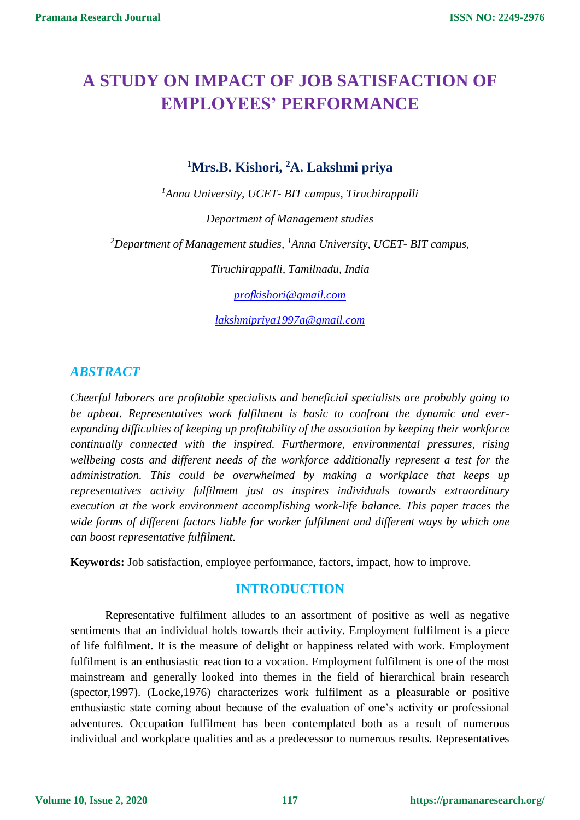# **A STUDY ON IMPACT OF JOB SATISFACTION OF EMPLOYEES' PERFORMANCE**

**<sup>1</sup>Mrs.B. Kishori, <sup>2</sup>A. Lakshmi priya** 

*<sup>1</sup>Anna University, UCET- BIT campus, Tiruchirappalli*

*Department of Management studies* 

*<sup>2</sup>Department of Management studies, <sup>1</sup>Anna University, UCET- BIT campus,*

*Tiruchirappalli, Tamilnadu, India*

*[profkishori@gmail.com](mailto:profkishori@gmail.com)*

*[lakshmipriya1997a@gmail.com](mailto:lakshmipriya1997a@gmail.com)*

# *ABSTRACT*

*Cheerful laborers are profitable specialists and beneficial specialists are probably going to be upbeat. Representatives work fulfilment is basic to confront the dynamic and everexpanding difficulties of keeping up profitability of the association by keeping their workforce continually connected with the inspired. Furthermore, environmental pressures, rising wellbeing costs and different needs of the workforce additionally represent a test for the administration. This could be overwhelmed by making a workplace that keeps up representatives activity fulfilment just as inspires individuals towards extraordinary execution at the work environment accomplishing work-life balance. This paper traces the wide forms of different factors liable for worker fulfilment and different ways by which one can boost representative fulfilment.*

**Keywords:** Job satisfaction, employee performance, factors, impact, how to improve.

# **INTRODUCTION**

Representative fulfilment alludes to an assortment of positive as well as negative sentiments that an individual holds towards their activity. Employment fulfilment is a piece of life fulfilment. It is the measure of delight or happiness related with work. Employment fulfilment is an enthusiastic reaction to a vocation. Employment fulfilment is one of the most mainstream and generally looked into themes in the field of hierarchical brain research (spector,1997). (Locke,1976) characterizes work fulfilment as a pleasurable or positive enthusiastic state coming about because of the evaluation of one's activity or professional adventures. Occupation fulfilment has been contemplated both as a result of numerous individual and workplace qualities and as a predecessor to numerous results. Representatives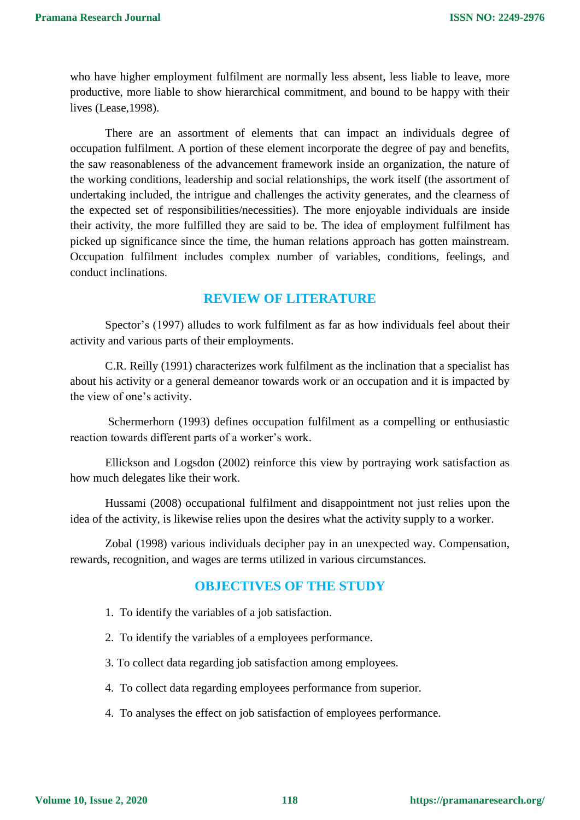who have higher employment fulfilment are normally less absent, less liable to leave, more productive, more liable to show hierarchical commitment, and bound to be happy with their lives (Lease,1998).

There are an assortment of elements that can impact an individuals degree of occupation fulfilment. A portion of these element incorporate the degree of pay and benefits, the saw reasonableness of the advancement framework inside an organization, the nature of the working conditions, leadership and social relationships, the work itself (the assortment of undertaking included, the intrigue and challenges the activity generates, and the clearness of the expected set of responsibilities/necessities). The more enjoyable individuals are inside their activity, the more fulfilled they are said to be. The idea of employment fulfilment has picked up significance since the time, the human relations approach has gotten mainstream. Occupation fulfilment includes complex number of variables, conditions, feelings, and conduct inclinations.

### **REVIEW OF LITERATURE**

Spector's (1997) alludes to work fulfilment as far as how individuals feel about their activity and various parts of their employments.

C.R. Reilly (1991) characterizes work fulfilment as the inclination that a specialist has about his activity or a general demeanor towards work or an occupation and it is impacted by the view of one's activity.

Schermerhorn (1993) defines occupation fulfilment as a compelling or enthusiastic reaction towards different parts of a worker's work.

Ellickson and Logsdon (2002) reinforce this view by portraying work satisfaction as how much delegates like their work.

Hussami (2008) occupational fulfilment and disappointment not just relies upon the idea of the activity, is likewise relies upon the desires what the activity supply to a worker.

Zobal (1998) various individuals decipher pay in an unexpected way. Compensation, rewards, recognition, and wages are terms utilized in various circumstances.

#### **OBJECTIVES OF THE STUDY**

- 1. To identify the variables of a job satisfaction.
- 2. To identify the variables of a employees performance.
- 3. To collect data regarding job satisfaction among employees.
- 4. To collect data regarding employees performance from superior.
- 4. To analyses the effect on job satisfaction of employees performance.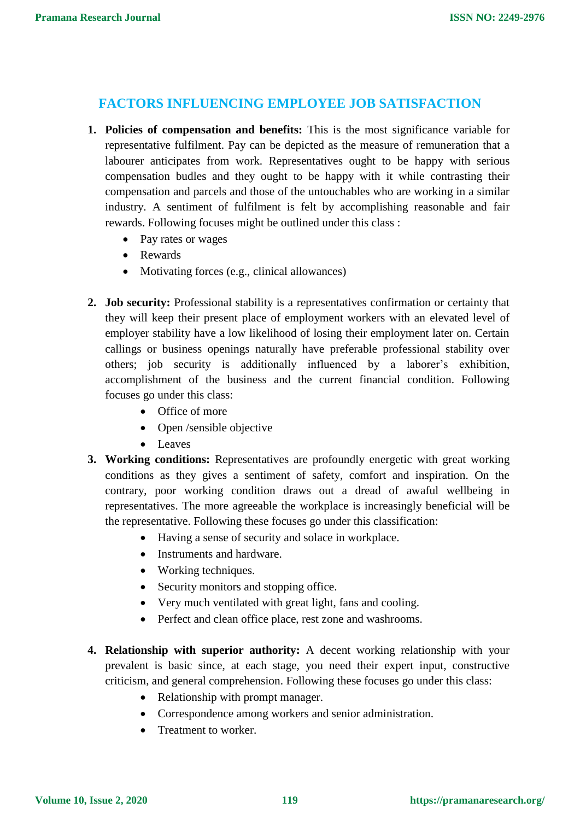## **FACTORS INFLUENCING EMPLOYEE JOB SATISFACTION**

- **1. Policies of compensation and benefits:** This is the most significance variable for representative fulfilment. Pay can be depicted as the measure of remuneration that a labourer anticipates from work. Representatives ought to be happy with serious compensation budles and they ought to be happy with it while contrasting their compensation and parcels and those of the untouchables who are working in a similar industry. A sentiment of fulfilment is felt by accomplishing reasonable and fair rewards. Following focuses might be outlined under this class :
	- Pay rates or wages
	- Rewards
	- Motivating forces (e.g., clinical allowances)
- **2. Job security:** Professional stability is a representatives confirmation or certainty that they will keep their present place of employment workers with an elevated level of employer stability have a low likelihood of losing their employment later on. Certain callings or business openings naturally have preferable professional stability over others; job security is additionally influenced by a laborer's exhibition, accomplishment of the business and the current financial condition. Following focuses go under this class:
	- Office of more
	- Open /sensible objective
	- Leaves
- **3. Working conditions:** Representatives are profoundly energetic with great working conditions as they gives a sentiment of safety, comfort and inspiration. On the contrary, poor working condition draws out a dread of awaful wellbeing in representatives. The more agreeable the workplace is increasingly beneficial will be the representative. Following these focuses go under this classification:
	- Having a sense of security and solace in workplace.
	- Instruments and hardware.
	- Working techniques.
	- Security monitors and stopping office.
	- Very much ventilated with great light, fans and cooling.
	- Perfect and clean office place, rest zone and washrooms.
- **4. Relationship with superior authority:** A decent working relationship with your prevalent is basic since, at each stage, you need their expert input, constructive criticism, and general comprehension. Following these focuses go under this class:
	- Relationship with prompt manager.
	- Correspondence among workers and senior administration.
	- Treatment to worker.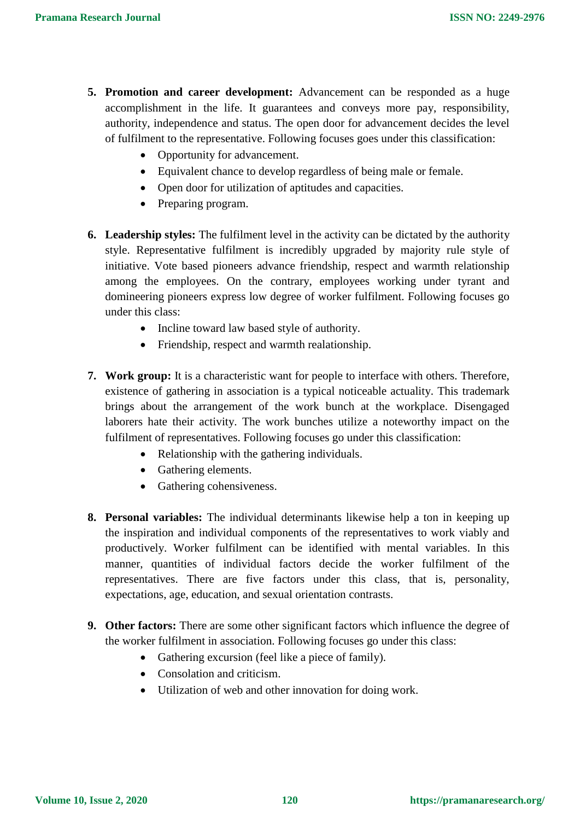- **5. Promotion and career development:** Advancement can be responded as a huge accomplishment in the life. It guarantees and conveys more pay, responsibility, authority, independence and status. The open door for advancement decides the level of fulfilment to the representative. Following focuses goes under this classification:
	- Opportunity for advancement.
	- Equivalent chance to develop regardless of being male or female.
	- Open door for utilization of aptitudes and capacities.
	- Preparing program.
- **6. Leadership styles:** The fulfilment level in the activity can be dictated by the authority style. Representative fulfilment is incredibly upgraded by majority rule style of initiative. Vote based pioneers advance friendship, respect and warmth relationship among the employees. On the contrary, employees working under tyrant and domineering pioneers express low degree of worker fulfilment. Following focuses go under this class:
	- Incline toward law based style of authority.
	- Friendship, respect and warmth realationship.
- **7. Work group:** It is a characteristic want for people to interface with others. Therefore, existence of gathering in association is a typical noticeable actuality. This trademark brings about the arrangement of the work bunch at the workplace. Disengaged laborers hate their activity. The work bunches utilize a noteworthy impact on the fulfilment of representatives. Following focuses go under this classification:
	- Relationship with the gathering individuals.
	- Gathering elements.
	- Gathering cohensiveness.
- **8. Personal variables:** The individual determinants likewise help a ton in keeping up the inspiration and individual components of the representatives to work viably and productively. Worker fulfilment can be identified with mental variables. In this manner, quantities of individual factors decide the worker fulfilment of the representatives. There are five factors under this class, that is, personality, expectations, age, education, and sexual orientation contrasts.
- **9. Other factors:** There are some other significant factors which influence the degree of the worker fulfilment in association. Following focuses go under this class:
	- Gathering excursion (feel like a piece of family).
	- Consolation and criticism.
	- Utilization of web and other innovation for doing work.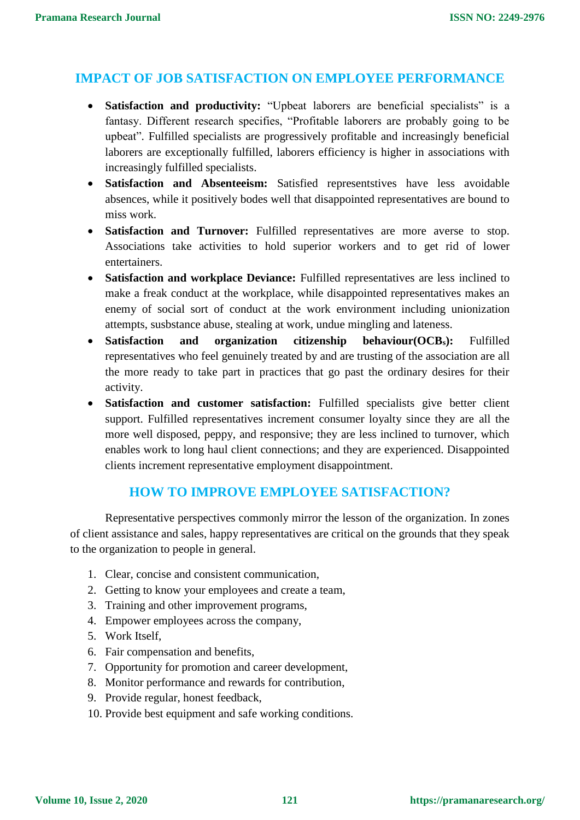# **IMPACT OF JOB SATISFACTION ON EMPLOYEE PERFORMANCE**

- **Satisfaction and productivity:** "Upbeat laborers are beneficial specialists" is a fantasy. Different research specifies, "Profitable laborers are probably going to be upbeat". Fulfilled specialists are progressively profitable and increasingly beneficial laborers are exceptionally fulfilled, laborers efficiency is higher in associations with increasingly fulfilled specialists.
- **Satisfaction and Absenteeism:** Satisfied representstives have less avoidable absences, while it positively bodes well that disappointed representatives are bound to miss work.
- **Satisfaction and Turnover:** Fulfilled representatives are more averse to stop. Associations take activities to hold superior workers and to get rid of lower entertainers.
- **Satisfaction and workplace Deviance:** Fulfilled representatives are less inclined to make a freak conduct at the workplace, while disappointed representatives makes an enemy of social sort of conduct at the work environment including unionization attempts, susbstance abuse, stealing at work, undue mingling and lateness.
- **Satisfaction and organization citizenship behaviour(OCBs):** Fulfilled representatives who feel genuinely treated by and are trusting of the association are all the more ready to take part in practices that go past the ordinary desires for their activity.
- **Satisfaction and customer satisfaction:** Fulfilled specialists give better client support. Fulfilled representatives increment consumer loyalty since they are all the more well disposed, peppy, and responsive; they are less inclined to turnover, which enables work to long haul client connections; and they are experienced. Disappointed clients increment representative employment disappointment.

# **HOW TO IMPROVE EMPLOYEE SATISFACTION?**

 Representative perspectives commonly mirror the lesson of the organization. In zones of client assistance and sales, happy representatives are critical on the grounds that they speak to the organization to people in general.

- 1. Clear, concise and consistent communication,
- 2. Getting to know your employees and create a team,
- 3. Training and other improvement programs,
- 4. Empower employees across the company,
- 5. Work Itself,
- 6. Fair compensation and benefits,
- 7. Opportunity for promotion and career development,
- 8. Monitor performance and rewards for contribution,
- 9. Provide regular, honest feedback,
- 10. Provide best equipment and safe working conditions.